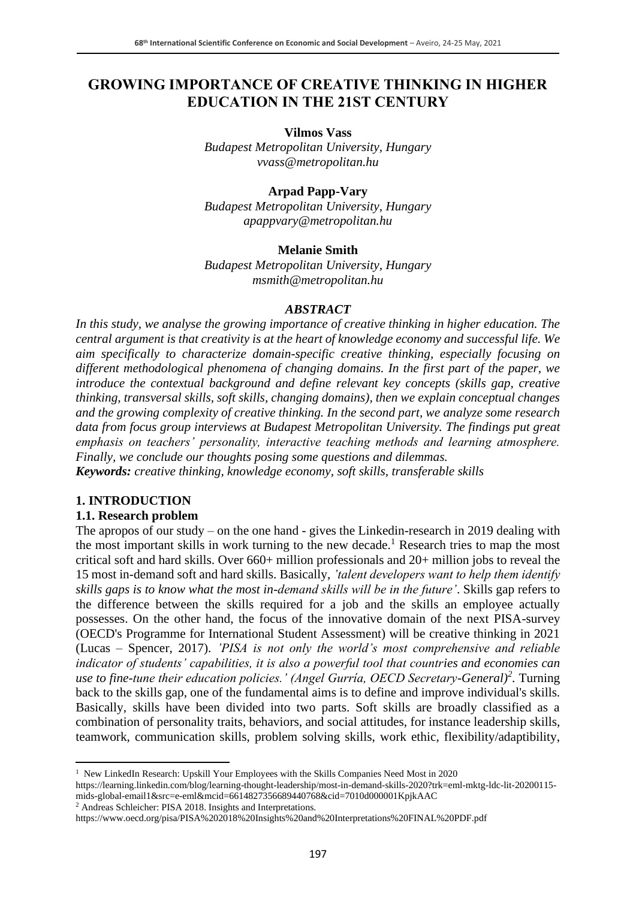### **GROWING IMPORTANCE OF CREATIVE THINKING IN HIGHER EDUCATION IN THE 21ST CENTURY**

**Vilmos Vass**

*Budapest Metropolitan University, Hungary vvass@metropolitan.hu*

#### **Arpad Papp-Vary**

*Budapest Metropolitan University, Hungary apappvary@metropolitan.hu*

#### **Melanie Smith**

*Budapest Metropolitan University, Hungary msmith@metropolitan.hu*

#### *ABSTRACT*

*In this study, we analyse the growing importance of creative thinking in higher education. The central argument is that creativity is at the heart of knowledge economy and successful life. We aim specifically to characterize domain-specific creative thinking, especially focusing on different methodological phenomena of changing domains. In the first part of the paper, we introduce the contextual background and define relevant key concepts (skills gap, creative thinking, transversal skills, soft skills, changing domains), then we explain conceptual changes and the growing complexity of creative thinking. In the second part, we analyze some research data from focus group interviews at Budapest Metropolitan University. The findings put great emphasis on teachers' personality, interactive teaching methods and learning atmosphere. Finally, we conclude our thoughts posing some questions and dilemmas. Keywords: creative thinking, knowledge economy, soft skills, transferable skills* 

#### **1. INTRODUCTION**

#### **1.1. Research problem**

The apropos of our study – on the one hand - gives the Linkedin-research in 2019 dealing with the most important skills in work turning to the new decade.<sup>1</sup> Research tries to map the most critical soft and hard skills. Over 660+ million professionals and 20+ million jobs to reveal the 15 most in-demand soft and hard skills. Basically, *'talent developers want to help them identify skills gaps is to know what the most in-demand skills will be in the future'*. Skills gap refers to the difference between the skills required for a job and the skills an employee actually possesses. On the other hand, the focus of the innovative domain of the next PISA-survey (OECD's Programme for International Student Assessment) will be creative thinking in 2021 (Lucas – Spencer, 2017). *'PISA is not only the world's most comprehensive and reliable indicator of students' capabilities, it is also a powerful tool that countries and economies can use to fine-tune their education policies.' (Angel Gurría, OECD Secretary-General)<sup>2</sup> .* Turning back to the skills gap, one of the fundamental aims is to define and improve individual's skills. Basically, skills have been divided into two parts. Soft skills are broadly classified as a combination of personality traits, behaviors, and social attitudes, for instance leadership skills, teamwork, communication skills, problem solving skills, work ethic, flexibility/adaptibility,

https://learning.linkedin.com/blog/learning-thought-leadership/most-in-demand-skills-2020?trk=eml-mktg-ldc-lit-20200115 mids-global-email1&src=e-eml&mcid=6614827356689440768&cid=7010d000001KpjkAAC

<sup>2</sup> Andreas Schleicher: PISA 2018. Insights and Interpretations.

<sup>&</sup>lt;sup>1</sup> New LinkedIn Research: Upskill Your Employees with the Skills Companies Need Most in 2020

https://www.oecd.org/pisa/PISA%202018%20Insights%20and%20Interpretations%20FINAL%20PDF.pdf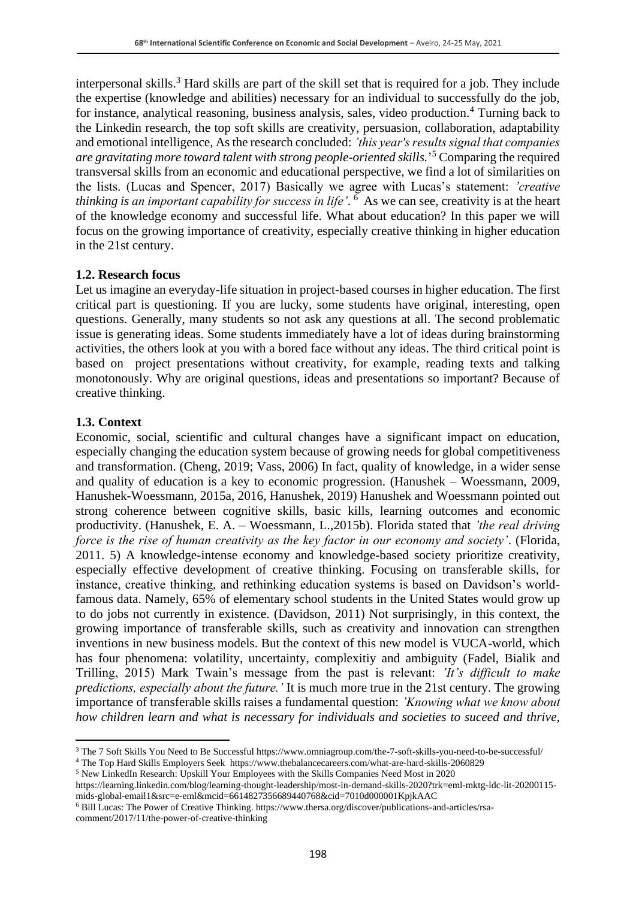interpersonal skills.<sup>3</sup> Hard skills are part of the skill set that is required for a job. They include the expertise (knowledge and abilities) necessary for an individual to successfully do the job, for instance, analytical reasoning, business analysis, sales, video production.<sup>4</sup> Turning back to the Linkedin research, the top soft skills are creativity, persuasion, collaboration, adaptability and emotional intelligence, As the research concluded: *'this year's results signal that companies are gravitating more toward talent with strong people-oriented skills.*' <sup>5</sup> Comparing the required transversal skills from an economic and educational perspective, we find a lot of similarities on the lists. (Lucas and Spencer, 2017) Basically we agree with Lucas's statement: *'creative thinking is an important capability for success in life'*. 6 As we can see, creativity is at the heart of the knowledge economy and successful life. What about education? In this paper we will focus on the growing importance of creativity, especially creative thinking in higher education in the 21st century.

#### **1.2. Research focus**

Let us imagine an everyday-life situation in project-based courses in higher education. The first critical part is questioning. If you are lucky, some students have original, interesting, open questions. Generally, many students so not ask any questions at all. The second problematic issue is generating ideas. Some students immediately have a lot of ideas during brainstorming activities, the others look at you with a bored face without any ideas. The third critical point is based on project presentations without creativity, for example, reading texts and talking monotonously. Why are original questions, ideas and presentations so important? Because of creative thinking.

#### **1.3. Context**

Economic, social, scientific and cultural changes have a significant impact on education, especially changing the education system because of growing needs for global competitiveness and transformation. (Cheng, 2019; Vass, 2006) In fact, quality of knowledge, in a wider sense and quality of education is a key to economic progression. (Hanushek – Woessmann, 2009, Hanushek-Woessmann, 2015a, 2016, Hanushek, 2019) Hanushek and Woessmann pointed out strong coherence between cognitive skills, basic kills, learning outcomes and economic productivity. (Hanushek, E. A. – Woessmann, L.,2015b). Florida stated that *'the real driving force is the rise of human creativity as the key factor in our economy and society'*. (Florida, 2011. 5) A knowledge-intense economy and knowledge-based society prioritize creativity, especially effective development of creative thinking. Focusing on transferable skills, for instance, creative thinking, and rethinking education systems is based on Davidson's worldfamous data. Namely, 65% of elementary school students in the United States would grow up to do jobs not currently in existence. (Davidson, 2011) Not surprisingly, in this context, the growing importance of transferable skills, such as creativity and innovation can strengthen inventions in new business models. But the context of this new model is VUCA-world, which has four phenomena: volatility, uncertainty, complexitiy and ambiguity (Fadel, Bialik and Trilling, 2015) Mark Twain's message from the past is relevant: *'It's difficult to make predictions, especially about the future.'* It is much more true in the 21st century. The growing importance of transferable skills raises a fundamental question: *'Knowing what we know about how children learn and what is necessary for individuals and societies to suceed and thrive,* 

https://learning.linkedin.com/blog/learning-thought-leadership/most-in-demand-skills-2020?trk=eml-mktg-ldc-lit-20200115 mids-global-email1&src=e-eml&mcid=6614827356689440768&cid=7010d000001KpjkAAC

<sup>3</sup> The 7 Soft Skills You Need to Be Successful https://www.omniagroup.com/the-7-soft-skills-you-need-to-be-successful/

<sup>4</sup> The Top Hard Skills Employers Seek https://www.thebalancecareers.com/what-are-hard-skills-2060829

<sup>5</sup> New LinkedIn Research: Upskill Your Employees with the Skills Companies Need Most in 2020

<sup>6</sup> Bill Lucas: The Power of Creative Thinking. https://www.thersa.org/discover/publications-and-articles/rsacomment/2017/11/the-power-of-creative-thinking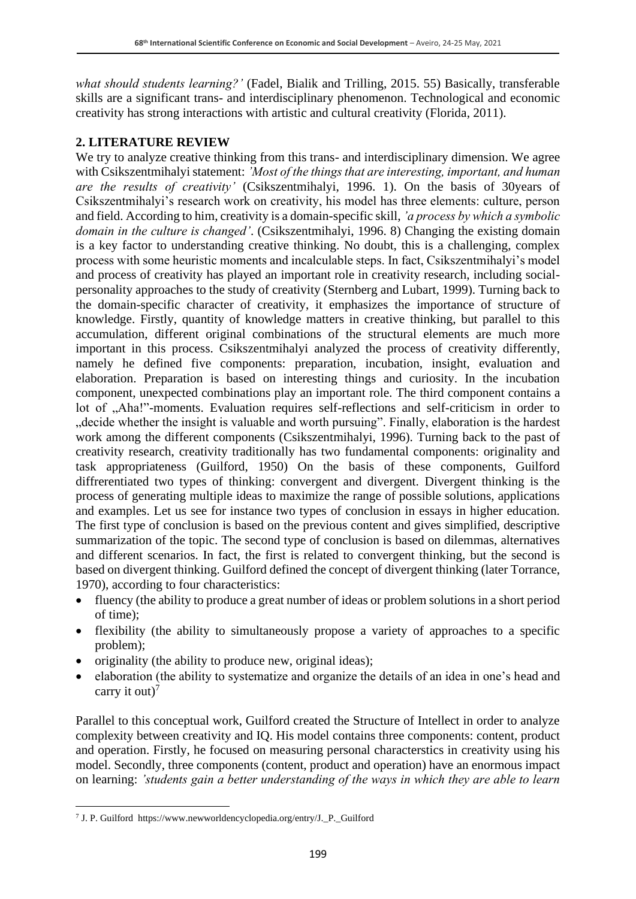*what should students learning?'* (Fadel, Bialik and Trilling, 2015. 55) Basically, transferable skills are a significant trans- and interdisciplinary phenomenon. Technological and economic creativity has strong interactions with artistic and cultural creativity (Florida, 2011).

### **2. LITERATURE REVIEW**

We try to analyze creative thinking from this trans- and interdisciplinary dimension. We agree with Csikszentmihalyi statement: *'Most of the things that are interesting, important, and human are the results of creativity'* (Csikszentmihalyi, 1996. 1). On the basis of 30years of Csikszentmihalyi's research work on creativity, his model has three elements: culture, person and field. According to him, creativity is a domain-specific skill, *'a process by which a symbolic domain in the culture is changed'*. (Csikszentmihalyi, 1996. 8) Changing the existing domain is a key factor to understanding creative thinking. No doubt, this is a challenging, complex process with some heuristic moments and incalculable steps. In fact, Csikszentmihalyi's model and process of creativity has played an important role in creativity research, including socialpersonality approaches to the study of creativity (Sternberg and Lubart, 1999). Turning back to the domain-specific character of creativity, it emphasizes the importance of structure of knowledge. Firstly, quantity of knowledge matters in creative thinking, but parallel to this accumulation, different original combinations of the structural elements are much more important in this process. Csikszentmihalyi analyzed the process of creativity differently, namely he defined five components: preparation, incubation, insight, evaluation and elaboration. Preparation is based on interesting things and curiosity. In the incubation component, unexpected combinations play an important role. The third component contains a lot of "Aha!"-moments. Evaluation requires self-reflections and self-criticism in order to "decide whether the insight is valuable and worth pursuing". Finally, elaboration is the hardest work among the different components (Csikszentmihalyi, 1996). Turning back to the past of creativity research, creativity traditionally has two fundamental components: originality and task appropriateness (Guilford, 1950) On the basis of these components, Guilford diffrerentiated two types of thinking: convergent and divergent. Divergent thinking is the process of generating multiple ideas to maximize the range of possible solutions, applications and examples. Let us see for instance two types of conclusion in essays in higher education. The first type of conclusion is based on the previous content and gives simplified, descriptive summarization of the topic. The second type of conclusion is based on dilemmas, alternatives and different scenarios. In fact, the first is related to convergent thinking, but the second is based on divergent thinking. Guilford defined the concept of divergent thinking (later Torrance, 1970), according to four characteristics:

- fluency (the ability to produce a great number of ideas or problem solutions in a short period of time);
- flexibility (the ability to simultaneously propose a variety of approaches to a specific problem);
- originality (the ability to produce new, original ideas);
- elaboration (the ability to systematize and organize the details of an idea in one's head and carry it out)<sup>7</sup>

Parallel to this conceptual work, Guilford created the Structure of Intellect in order to analyze complexity between creativity and IQ. His model contains three components: content, product and operation. Firstly, he focused on measuring personal characterstics in creativity using his model. Secondly, three components (content, product and operation) have an enormous impact on learning: *'students gain a better understanding of the ways in which they are able to learn* 

<sup>7</sup> J. P. Guilford https://www.newworldencyclopedia.org/entry/J.\_P.\_Guilford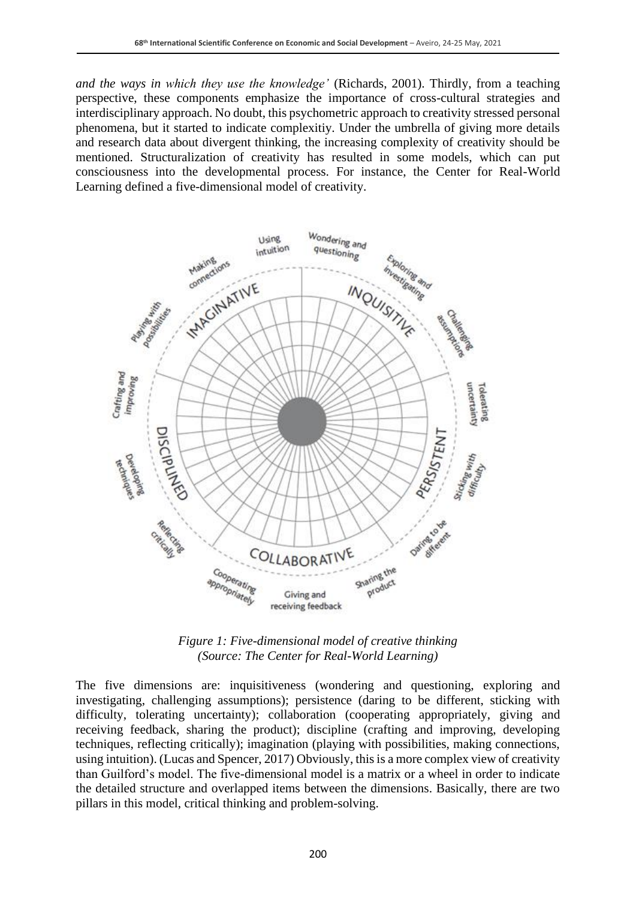*and the ways in which they use the knowledge'* (Richards, 2001). Thirdly, from a teaching perspective, these components emphasize the importance of cross-cultural strategies and interdisciplinary approach. No doubt, this psychometric approach to creativity stressed personal phenomena, but it started to indicate complexitiy. Under the umbrella of giving more details and research data about divergent thinking, the increasing complexity of creativity should be mentioned. Structuralization of creativity has resulted in some models, which can put consciousness into the developmental process. For instance, the Center for Real-World Learning defined a five-dimensional model of creativity.



*Figure 1: Five-dimensional model of creative thinking (Source: The Center for Real-World Learning)*

The five dimensions are: inquisitiveness (wondering and questioning, exploring and investigating, challenging assumptions); persistence (daring to be different, sticking with difficulty, tolerating uncertainty); collaboration (cooperating appropriately, giving and receiving feedback, sharing the product); discipline (crafting and improving, developing techniques, reflecting critically); imagination (playing with possibilities, making connections, using intuition). (Lucas and Spencer, 2017) Obviously, this is a more complex view of creativity than Guilford's model. The five-dimensional model is a matrix or a wheel in order to indicate the detailed structure and overlapped items between the dimensions. Basically, there are two pillars in this model, critical thinking and problem-solving.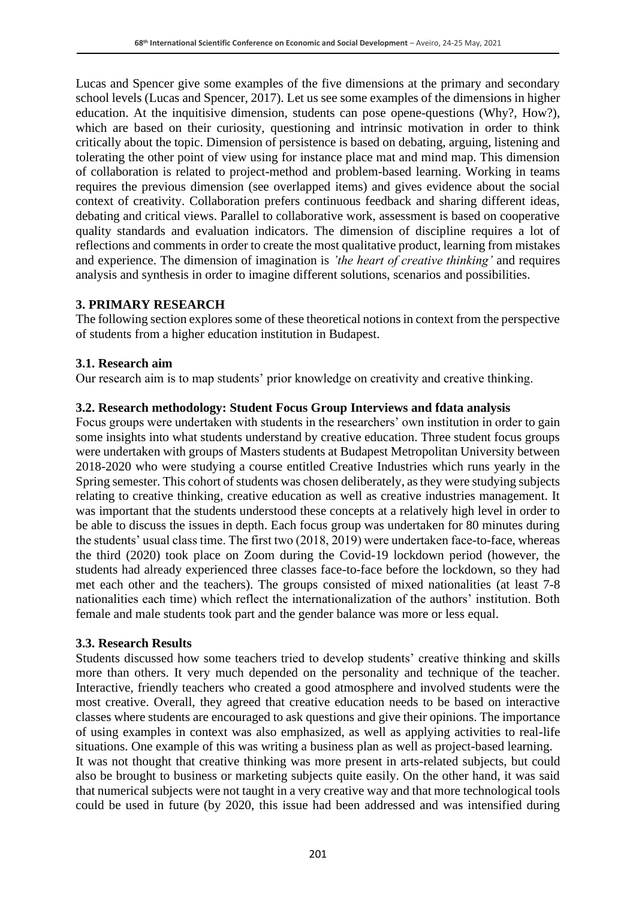Lucas and Spencer give some examples of the five dimensions at the primary and secondary school levels (Lucas and Spencer, 2017). Let us see some examples of the dimensions in higher education. At the inquitisive dimension, students can pose opene-questions (Why?, How?), which are based on their curiosity, questioning and intrinsic motivation in order to think critically about the topic. Dimension of persistence is based on debating, arguing, listening and tolerating the other point of view using for instance place mat and mind map. This dimension of collaboration is related to project-method and problem-based learning. Working in teams requires the previous dimension (see overlapped items) and gives evidence about the social context of creativity. Collaboration prefers continuous feedback and sharing different ideas, debating and critical views. Parallel to collaborative work, assessment is based on cooperative quality standards and evaluation indicators. The dimension of discipline requires a lot of reflections and comments in order to create the most qualitative product, learning from mistakes and experience. The dimension of imagination is *'the heart of creative thinking'* and requires analysis and synthesis in order to imagine different solutions, scenarios and possibilities.

#### **3. PRIMARY RESEARCH**

The following section explores some of these theoretical notions in context from the perspective of students from a higher education institution in Budapest.

#### **3.1. Research aim**

Our research aim is to map students' prior knowledge on creativity and creative thinking.

#### **3.2. Research methodology: Student Focus Group Interviews and fdata analysis**

Focus groups were undertaken with students in the researchers' own institution in order to gain some insights into what students understand by creative education. Three student focus groups were undertaken with groups of Masters students at Budapest Metropolitan University between 2018-2020 who were studying a course entitled Creative Industries which runs yearly in the Spring semester. This cohort of students was chosen deliberately, as they were studying subjects relating to creative thinking, creative education as well as creative industries management. It was important that the students understood these concepts at a relatively high level in order to be able to discuss the issues in depth. Each focus group was undertaken for 80 minutes during the students' usual class time. The first two (2018, 2019) were undertaken face-to-face, whereas the third (2020) took place on Zoom during the Covid-19 lockdown period (however, the students had already experienced three classes face-to-face before the lockdown, so they had met each other and the teachers). The groups consisted of mixed nationalities (at least 7-8 nationalities each time) which reflect the internationalization of the authors' institution. Both female and male students took part and the gender balance was more or less equal.

#### **3.3. Research Results**

Students discussed how some teachers tried to develop students' creative thinking and skills more than others. It very much depended on the personality and technique of the teacher. Interactive, friendly teachers who created a good atmosphere and involved students were the most creative. Overall, they agreed that creative education needs to be based on interactive classes where students are encouraged to ask questions and give their opinions. The importance of using examples in context was also emphasized, as well as applying activities to real-life situations. One example of this was writing a business plan as well as project-based learning. It was not thought that creative thinking was more present in arts-related subjects, but could also be brought to business or marketing subjects quite easily. On the other hand, it was said that numerical subjects were not taught in a very creative way and that more technological tools could be used in future (by 2020, this issue had been addressed and was intensified during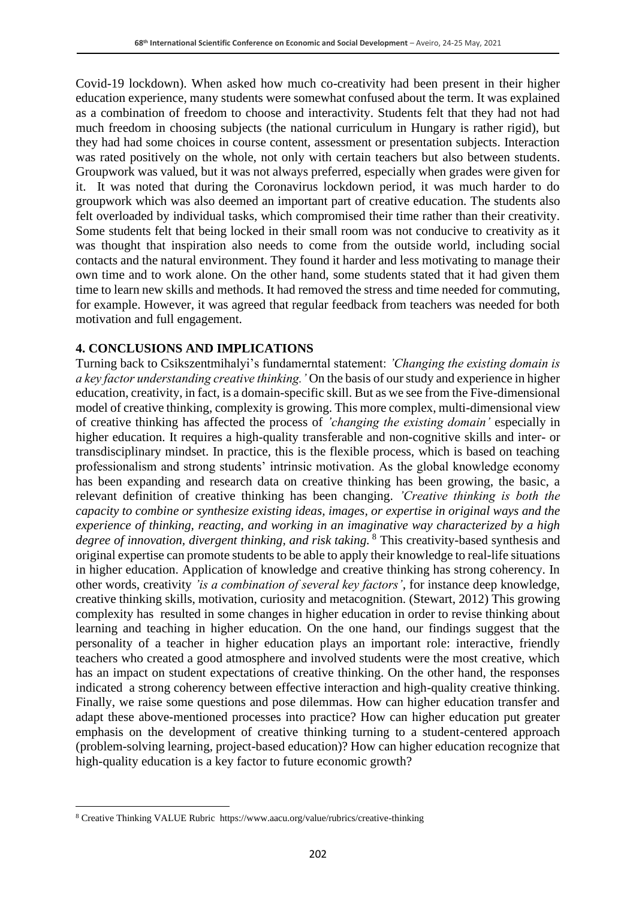Covid-19 lockdown). When asked how much co-creativity had been present in their higher education experience, many students were somewhat confused about the term. It was explained as a combination of freedom to choose and interactivity. Students felt that they had not had much freedom in choosing subjects (the national curriculum in Hungary is rather rigid), but they had had some choices in course content, assessment or presentation subjects. Interaction was rated positively on the whole, not only with certain teachers but also between students. Groupwork was valued, but it was not always preferred, especially when grades were given for it. It was noted that during the Coronavirus lockdown period, it was much harder to do groupwork which was also deemed an important part of creative education. The students also felt overloaded by individual tasks, which compromised their time rather than their creativity. Some students felt that being locked in their small room was not conducive to creativity as it was thought that inspiration also needs to come from the outside world, including social contacts and the natural environment. They found it harder and less motivating to manage their own time and to work alone. On the other hand, some students stated that it had given them time to learn new skills and methods. It had removed the stress and time needed for commuting, for example. However, it was agreed that regular feedback from teachers was needed for both motivation and full engagement.

### **4. CONCLUSIONS AND IMPLICATIONS**

Turning back to Csikszentmihalyi's fundamerntal statement: *'Changing the existing domain is a key factor understanding creative thinking.'* On the basis of our study and experience in higher education, creativity, in fact, is a domain-specific skill. But as we see from the Five-dimensional model of creative thinking, complexity is growing. This more complex, multi-dimensional view of creative thinking has affected the process of *'changing the existing domain'* especially in higher education. It requires a high-quality transferable and non-cognitive skills and inter- or transdisciplinary mindset. In practice, this is the flexible process, which is based on teaching professionalism and strong students' intrinsic motivation. As the global knowledge economy has been expanding and research data on creative thinking has been growing, the basic, a relevant definition of creative thinking has been changing. *'Creative thinking is both the capacity to combine or synthesize existing ideas, images, or expertise in original ways and the experience of thinking, reacting, and working in an imaginative way characterized by a high degree of innovation, divergent thinking, and risk taking.* <sup>8</sup> This creativity-based synthesis and original expertise can promote students to be able to apply their knowledge to real-life situations in higher education. Application of knowledge and creative thinking has strong coherency. In other words, creativity *'is a combination of several key factors'*, for instance deep knowledge, creative thinking skills, motivation, curiosity and metacognition. (Stewart, 2012) This growing complexity has resulted in some changes in higher education in order to revise thinking about learning and teaching in higher education. On the one hand, our findings suggest that the personality of a teacher in higher education plays an important role: interactive, friendly teachers who created a good atmosphere and involved students were the most creative, which has an impact on student expectations of creative thinking. On the other hand, the responses indicated a strong coherency between effective interaction and high-quality creative thinking. Finally, we raise some questions and pose dilemmas. How can higher education transfer and adapt these above-mentioned processes into practice? How can higher education put greater emphasis on the development of creative thinking turning to a student-centered approach (problem-solving learning, project-based education)? How can higher education recognize that high-quality education is a key factor to future economic growth?

<sup>8</sup> Creative Thinking VALUE Rubric https://www.aacu.org/value/rubrics/creative-thinking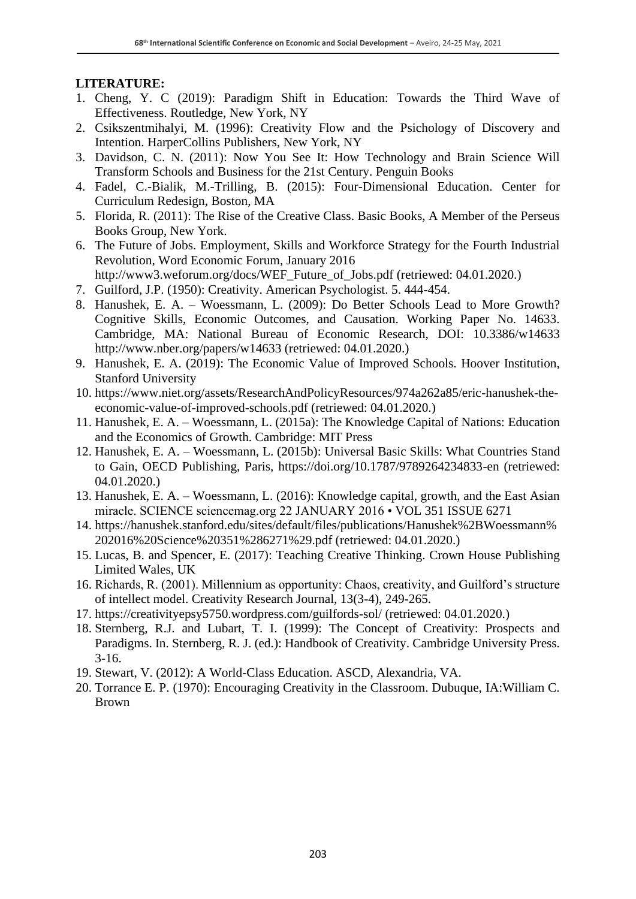### **LITERATURE:**

- 1. Cheng, Y. C (2019): Paradigm Shift in Education: Towards the Third Wave of Effectiveness. Routledge, New York, NY
- 2. Csikszentmihalyi, M. (1996): Creativity Flow and the Psichology of Discovery and Intention. HarperCollins Publishers, New York, NY
- 3. Davidson, C. N. (2011): Now You See It: How Technology and Brain Science Will Transform Schools and Business for the 21st Century. Penguin Books
- 4. Fadel, C.-Bialik, M.-Trilling, B. (2015): Four-Dimensional Education. Center for Curriculum Redesign, Boston, MA
- 5. Florida, R. (2011): The Rise of the Creative Class. Basic Books, A Member of the Perseus Books Group, New York.
- 6. The Future of Jobs. Employment, Skills and Workforce Strategy for the Fourth Industrial Revolution, Word Economic Forum, January 2016

http://www3.weforum.org/docs/WEF\_Future\_of\_Jobs.pdf (retriewed: 04.01.2020.)

- 7. Guilford, J.P. (1950): Creativity. American Psychologist. 5. 444-454.
- 8. Hanushek, E. A. Woessmann, L. (2009): Do Better Schools Lead to More Growth? Cognitive Skills, Economic Outcomes, and Causation. Working Paper No. 14633. Cambridge, MA: National Bureau of Economic Research, DOI: 10.3386/w14633 http://www.nber.org/papers/w14633 (retriewed: 04.01.2020.)
- 9. Hanushek, E. A. (2019): The Economic Value of Improved Schools. Hoover Institution, Stanford University
- 10. https://www.niet.org/assets/ResearchAndPolicyResources/974a262a85/eric-hanushek-theeconomic-value-of-improved-schools.pdf (retriewed: 04.01.2020.)
- 11. Hanushek, E. A. Woessmann, L. (2015a): The Knowledge Capital of Nations: Education and the Economics of Growth. Cambridge: MIT Press
- 12. Hanushek, E. A. Woessmann, L. (2015b): Universal Basic Skills: What Countries Stand to Gain, OECD Publishing, Paris, https://doi.org/10.1787/9789264234833-en (retriewed: 04.01.2020.)
- 13. Hanushek, E. A. Woessmann, L. (2016): Knowledge capital, growth, and the East Asian miracle. SCIENCE sciencemag.org 22 JANUARY 2016 • VOL 351 ISSUE 6271
- 14. https://hanushek.stanford.edu/sites/default/files/publications/Hanushek%2BWoessmann% 202016%20Science%20351%286271%29.pdf (retriewed: 04.01.2020.)
- 15. Lucas, B. and Spencer, E. (2017): Teaching Creative Thinking. Crown House Publishing Limited Wales, UK
- 16. Richards, R. (2001). Millennium as opportunity: Chaos, creativity, and Guilford's structure of intellect model. Creativity Research Journal, 13(3-4), 249-265.
- 17. https://creativityepsy5750.wordpress.com/guilfords-sol/ (retriewed: 04.01.2020.)
- 18. Sternberg, R.J. and Lubart, T. I. (1999): The Concept of Creativity: Prospects and Paradigms. In. Sternberg, R. J. (ed.): Handbook of Creativity. Cambridge University Press. 3-16.
- 19. Stewart, V. (2012): A World-Class Education. ASCD, Alexandria, VA.
- 20. Torrance E. P. (1970): Encouraging Creativity in the Classroom. Dubuque, IA:William C. Brown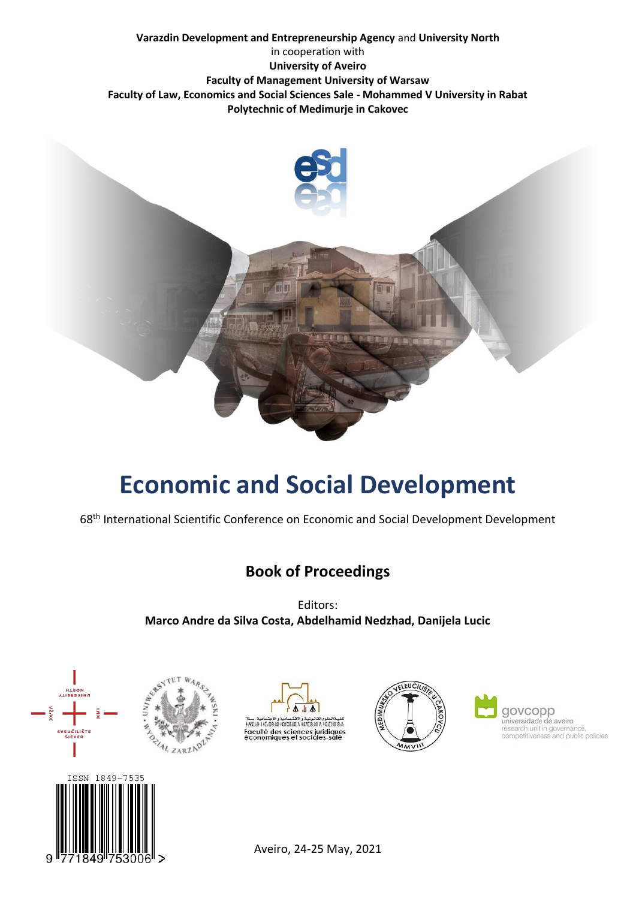



# **Economic and Social Development**

68 th International Scientific Conference on Economic and Social Development Development

### **Book of Proceedings**

Editors: **Marco Andre da Silva Costa, Abdelhamid Nedzhad, Danijela Lucic**



9





Aveiro, 24-25 May, 2021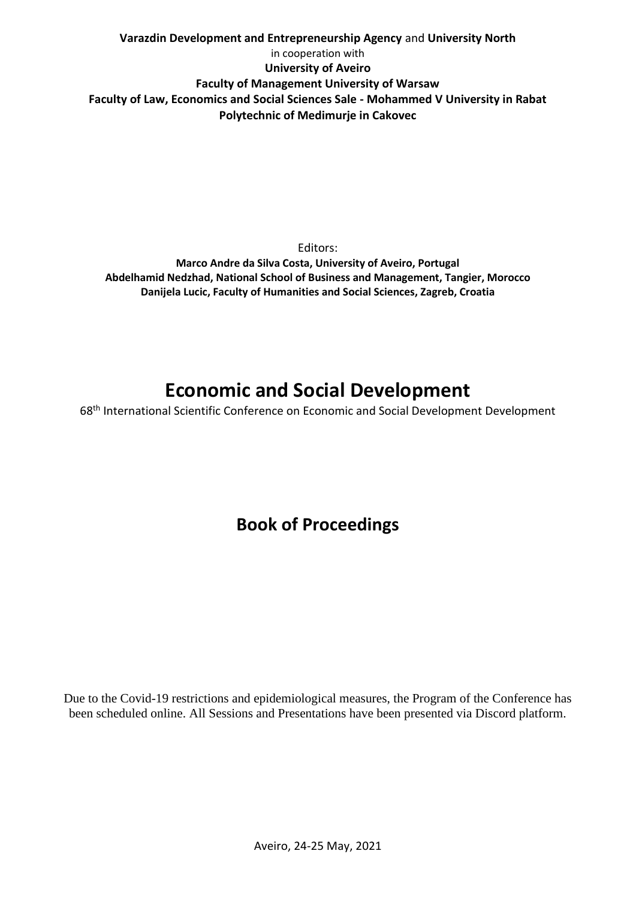**Varazdin Development and Entrepreneurship Agency** and **University North** in cooperation with **University of Aveiro Faculty of Management University of Warsaw Faculty of Law, Economics and Social Sciences Sale - Mohammed V University in Rabat Polytechnic of Medimurje in Cakovec**

Editors: **Marco Andre da Silva Costa, University of Aveiro, Portugal Abdelhamid Nedzhad, National School of Business and Management, Tangier, Morocco Danijela Lucic, Faculty of Humanities and Social Sciences, Zagreb, Croatia**

## **Economic and Social Development**

68 th International Scientific Conference on Economic and Social Development Development

## **Book of Proceedings**

Due to the Covid-19 restrictions and epidemiological measures, the Program of the Conference has been scheduled online. All Sessions and Presentations have been presented via Discord platform.